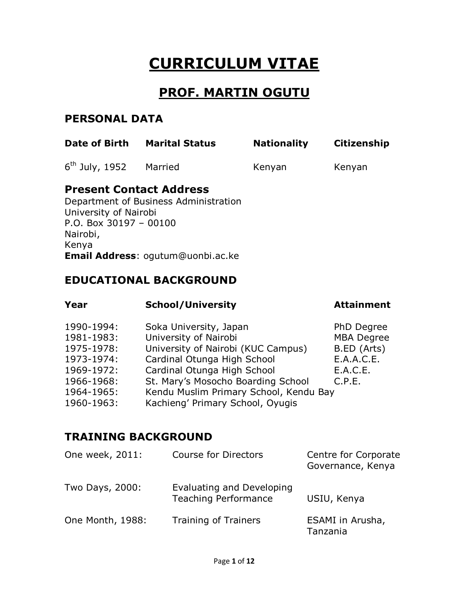# **CURRICULUM VITAE**

## **PROF. MARTIN OGUTU**

### **PERSONAL DATA**

| <b>Date of Birth</b>                                                                                                                     | <b>Marital Status</b> | <b>Nationality</b> | <b>Citizenship</b> |
|------------------------------------------------------------------------------------------------------------------------------------------|-----------------------|--------------------|--------------------|
| $6th$ July, 1952                                                                                                                         | Married               | Kenyan             | Kenyan             |
| <b>Present Contact Address</b><br>Department of Business Administration<br>University of Nairobi<br>P.O. Box $30197 - 00100$<br>Nairobi, |                       |                    |                    |

Kenya **Email Address**: [ogutum@uonbi.ac.ke](mailto:ogutum@uonbi.ac.ke)

## **EDUCATIONAL BACKGROUND**

| Year       | <b>School/University</b>               | <b>Attainment</b> |
|------------|----------------------------------------|-------------------|
| 1990-1994: | Soka University, Japan                 | PhD Degree        |
| 1981-1983: | University of Nairobi                  | <b>MBA Degree</b> |
| 1975-1978: | University of Nairobi (KUC Campus)     | B.ED (Arts)       |
| 1973-1974: | Cardinal Otunga High School            | E.A.A.C.E.        |
| 1969-1972: | Cardinal Otunga High School            | E.A.C.E.          |
| 1966-1968: | St. Mary's Mosocho Boarding School     | C.P.E.            |
| 1964-1965: | Kendu Muslim Primary School, Kendu Bay |                   |
| 1960-1963: | Kachieng' Primary School, Oyugis       |                   |

## **TRAINING BACKGROUND**

| One week, 2011:  | <b>Course for Directors</b>                              | Centre for Corporate<br>Governance, Kenya |
|------------------|----------------------------------------------------------|-------------------------------------------|
| Two Days, 2000:  | Evaluating and Developing<br><b>Teaching Performance</b> | USIU, Kenya                               |
| One Month, 1988: | <b>Training of Trainers</b>                              | ESAMI in Arusha,<br>Tanzania              |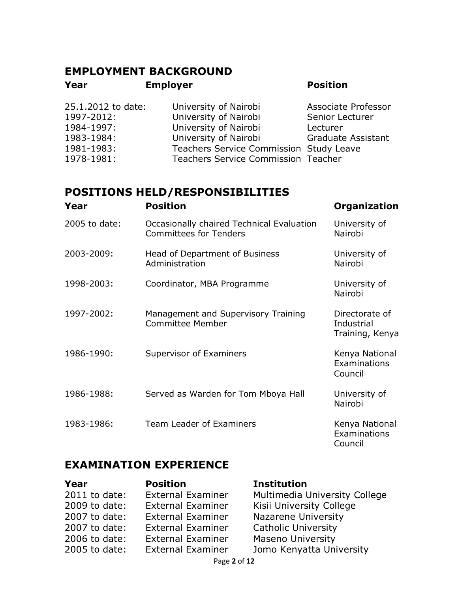## **EMPLOYMENT BACKGROUND Year Employer Position**

| Associate Professor                        |
|--------------------------------------------|
| Senior Lecturer                            |
| Lecturer                                   |
| <b>Graduate Assistant</b>                  |
| Teachers Service Commission Study Leave    |
| <b>Teachers Service Commission Teacher</b> |
|                                            |

## **POSITIONS HELD/RESPONSIBILITIES**

| Year          | <b>Position</b>                                                            | <b>Organization</b>                             |
|---------------|----------------------------------------------------------------------------|-------------------------------------------------|
| 2005 to date: | Occasionally chaired Technical Evaluation<br><b>Committees for Tenders</b> | University of<br>Nairobi                        |
| 2003-2009:    | Head of Department of Business<br>Administration                           | University of<br>Nairobi                        |
| 1998-2003:    | Coordinator, MBA Programme                                                 | University of<br>Nairobi                        |
| 1997-2002:    | Management and Supervisory Training<br><b>Committee Member</b>             | Directorate of<br>Industrial<br>Training, Kenya |
| 1986-1990:    | Supervisor of Examiners                                                    | Kenya National<br>Examinations<br>Council       |
| 1986-1988:    | Served as Warden for Tom Mboya Hall                                        | University of<br>Nairobi                        |
| 1983-1986:    | Team Leader of Examiners                                                   | Kenya National<br>Examinations<br>Council       |

## **EXAMINATION EXPERIENCE**

| Year            | <b>Position</b>          | <b>Institution</b>            |
|-----------------|--------------------------|-------------------------------|
| $2011$ to date: | <b>External Examiner</b> | Multimedia University College |
| 2009 to date:   | <b>External Examiner</b> | Kisii University College      |
| 2007 to date:   | <b>External Examiner</b> | Nazarene University           |
| 2007 to date:   | <b>External Examiner</b> | <b>Catholic University</b>    |
| 2006 to date:   | <b>External Examiner</b> | <b>Maseno University</b>      |
| 2005 to date:   | <b>External Examiner</b> | Jomo Kenyatta University      |
|                 | Page 2 of 12             |                               |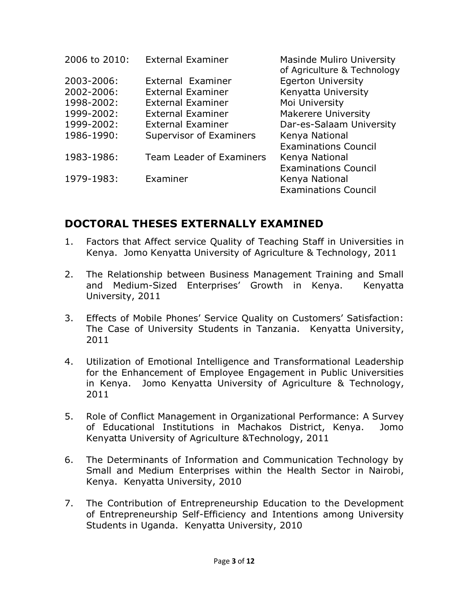| 2006 to 2010: | <b>External Examiner</b>        | <b>Masinde Muliro University</b><br>of Agriculture & Technology |
|---------------|---------------------------------|-----------------------------------------------------------------|
| 2003-2006:    | External Examiner               | <b>Egerton University</b>                                       |
| 2002-2006:    | <b>External Examiner</b>        | Kenyatta University                                             |
| 1998-2002:    | <b>External Examiner</b>        | Moi University                                                  |
| 1999-2002:    | <b>External Examiner</b>        | <b>Makerere University</b>                                      |
| 1999-2002:    | <b>External Examiner</b>        | Dar-es-Salaam University                                        |
| 1986-1990:    | Supervisor of Examiners         | Kenya National                                                  |
|               |                                 | <b>Examinations Council</b>                                     |
| 1983-1986:    | <b>Team Leader of Examiners</b> | Kenya National                                                  |
|               |                                 | <b>Examinations Council</b>                                     |
| 1979-1983:    | Examiner                        | Kenya National                                                  |
|               |                                 | <b>Examinations Council</b>                                     |

## **DOCTORAL THESES EXTERNALLY EXAMINED**

- 1. Factors that Affect service Quality of Teaching Staff in Universities in Kenya. Jomo Kenyatta University of Agriculture & Technology, 2011
- 2. The Relationship between Business Management Training and Small and Medium-Sized Enterprises' Growth in Kenya. Kenyatta University, 2011
- 3. Effects of Mobile Phones' Service Quality on Customers' Satisfaction: The Case of University Students in Tanzania. Kenyatta University, 2011
- 4. Utilization of Emotional Intelligence and Transformational Leadership for the Enhancement of Employee Engagement in Public Universities in Kenya. Jomo Kenyatta University of Agriculture & Technology, 2011
- 5. Role of Conflict Management in Organizational Performance: A Survey of Educational Institutions in Machakos District, Kenya. Jomo Kenyatta University of Agriculture &Technology, 2011
- 6. The Determinants of Information and Communication Technology by Small and Medium Enterprises within the Health Sector in Nairobi, Kenya. Kenyatta University, 2010
- 7. The Contribution of Entrepreneurship Education to the Development of Entrepreneurship Self-Efficiency and Intentions among University Students in Uganda. Kenyatta University, 2010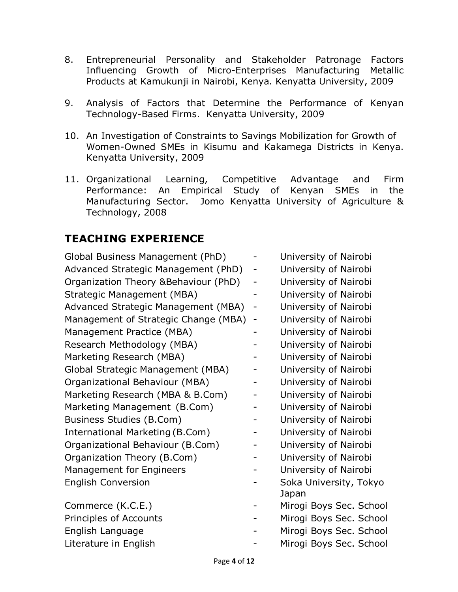- 8. Entrepreneurial Personality and Stakeholder Patronage Factors Influencing Growth of Micro-Enterprises Manufacturing Metallic Products at Kamukunji in Nairobi, Kenya. Kenyatta University, 2009
- 9. Analysis of Factors that Determine the Performance of Kenyan Technology-Based Firms. Kenyatta University, 2009
- 10. An Investigation of Constraints to Savings Mobilization for Growth of Women-Owned SMEs in Kisumu and Kakamega Districts in Kenya. Kenyatta University, 2009
- 11. Organizational Learning, Competitive Advantage and Firm Performance: An Empirical Study of Kenyan SMEs in the Manufacturing Sector. Jomo Kenyatta University of Agriculture & Technology, 2008

## **TEACHING EXPERIENCE**

| Global Business Management (PhD)      |                          | University of Nairobi   |
|---------------------------------------|--------------------------|-------------------------|
| Advanced Strategic Management (PhD)   |                          | University of Nairobi   |
| Organization Theory & Behaviour (PhD) |                          | University of Nairobi   |
| Strategic Management (MBA)            |                          | University of Nairobi   |
| Advanced Strategic Management (MBA)   | $\overline{\phantom{0}}$ | University of Nairobi   |
| Management of Strategic Change (MBA)  | $\overline{\phantom{0}}$ | University of Nairobi   |
| Management Practice (MBA)             |                          | University of Nairobi   |
| Research Methodology (MBA)            |                          | University of Nairobi   |
| Marketing Research (MBA)              |                          | University of Nairobi   |
| Global Strategic Management (MBA)     |                          | University of Nairobi   |
| Organizational Behaviour (MBA)        |                          | University of Nairobi   |
| Marketing Research (MBA & B.Com)      |                          | University of Nairobi   |
| Marketing Management (B.Com)          |                          | University of Nairobi   |
| <b>Business Studies (B.Com)</b>       |                          | University of Nairobi   |
| International Marketing (B.Com)       |                          | University of Nairobi   |
| Organizational Behaviour (B.Com)      |                          | University of Nairobi   |
| Organization Theory (B.Com)           |                          | University of Nairobi   |
| Management for Engineers              |                          | University of Nairobi   |
| <b>English Conversion</b>             |                          | Soka University, Tokyo  |
|                                       |                          | Japan                   |
| Commerce (K.C.E.)                     |                          | Mirogi Boys Sec. School |
| Principles of Accounts                |                          | Mirogi Boys Sec. School |
| English Language                      |                          | Mirogi Boys Sec. School |
| Literature in English                 |                          | Mirogi Boys Sec. School |
|                                       |                          |                         |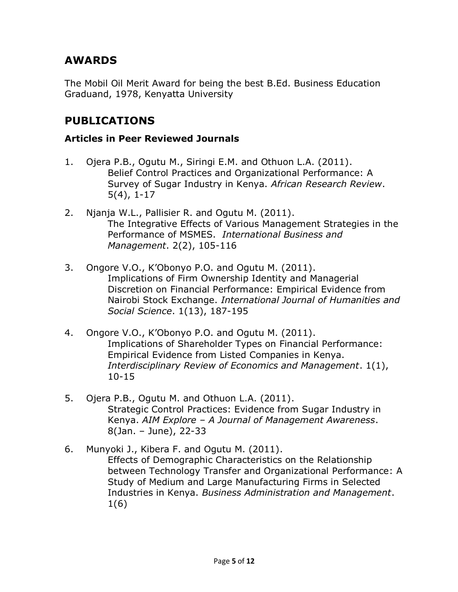## **AWARDS**

The Mobil Oil Merit Award for being the best B.Ed. Business Education Graduand, 1978, Kenyatta University

## **PUBLICATIONS**

#### **Articles in Peer Reviewed Journals**

- 1. Ojera P.B., Ogutu M., Siringi E.M. and Othuon L.A. (2011). Belief Control Practices and Organizational Performance: A Survey of Sugar Industry in Kenya. *African Research Review*. 5(4), 1-17
- 2. Njanja W.L., Pallisier R. and Ogutu M. (2011). The Integrative Effects of Various Management Strategies in the Performance of MSMES. *International Business and Management*. 2(2), 105-116
- 3. Ongore V.O., K'Obonyo P.O. and Ogutu M. (2011). Implications of Firm Ownership Identity and Managerial Discretion on Financial Performance: Empirical Evidence from Nairobi Stock Exchange. *International Journal of Humanities and Social Science*. 1(13), 187-195
- 4. Ongore V.O., K'Obonyo P.O. and Ogutu M. (2011). Implications of Shareholder Types on Financial Performance: Empirical Evidence from Listed Companies in Kenya. *Interdisciplinary Review of Economics and Management*. 1(1), 10-15
- 5. Ojera P.B., Ogutu M. and Othuon L.A. (2011). Strategic Control Practices: Evidence from Sugar Industry in Kenya. *AIM Explore – A Journal of Management Awareness*. 8(Jan. – June), 22-33
- 6. Munyoki J., Kibera F. and Ogutu M. (2011). Effects of Demographic Characteristics on the Relationship between Technology Transfer and Organizational Performance: A Study of Medium and Large Manufacturing Firms in Selected Industries in Kenya. *Business Administration and Management*. 1(6)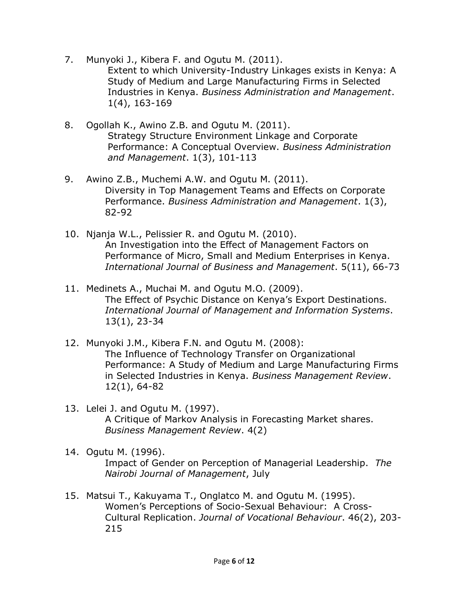- 7. Munyoki J., Kibera F. and Ogutu M. (2011). Extent to which University-Industry Linkages exists in Kenya: A Study of Medium and Large Manufacturing Firms in Selected Industries in Kenya. *Business Administration and Management*. 1(4), 163-169
- 8. Ogollah K., Awino Z.B. and Ogutu M. (2011). Strategy Structure Environment Linkage and Corporate Performance: A Conceptual Overview. *Business Administration and Management*. 1(3), 101-113
- 9. Awino Z.B., Muchemi A.W. and Ogutu M. (2011). Diversity in Top Management Teams and Effects on Corporate Performance. *Business Administration and Management*. 1(3), 82-92
- 10. Njanja W.L., Pelissier R. and Ogutu M. (2010). An Investigation into the Effect of Management Factors on Performance of Micro, Small and Medium Enterprises in Kenya. *International Journal of Business and Management*. 5(11), 66-73
- 11. Medinets A., Muchai M. and Ogutu M.O. (2009). The Effect of Psychic Distance on Kenya's Export Destinations. *International Journal of Management and Information Systems*. 13(1), 23-34
- 12. Munyoki J.M., Kibera F.N. and Ogutu M. (2008): The Influence of Technology Transfer on Organizational Performance: A Study of Medium and Large Manufacturing Firms in Selected Industries in Kenya. *Business Management Review*. 12(1), 64-82
- 13. Lelei J. and Ogutu M. (1997). A Critique of Markov Analysis in Forecasting Market shares. *Business Management Review*. 4(2)
- 14. Ogutu M. (1996). Impact of Gender on Perception of Managerial Leadership. *The Nairobi Journal of Management*, July
- 15. Matsui T., Kakuyama T., Onglatco M. and Ogutu M. (1995). Women's Perceptions of Socio-Sexual Behaviour: A Cross-Cultural Replication. *Journal of Vocational Behaviour*. 46(2), 203- 215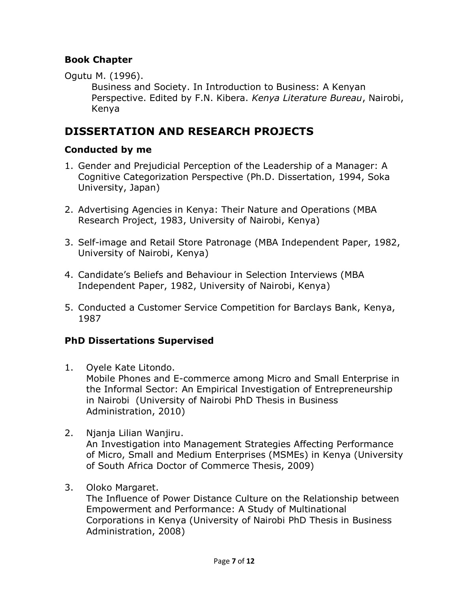#### **Book Chapter**

Ogutu M. (1996).

Business and Society. In Introduction to Business: A Kenyan Perspective. Edited by F.N. Kibera. *Kenya Literature Bureau*, Nairobi, Kenya

## **DISSERTATION AND RESEARCH PROJECTS**

#### **Conducted by me**

- 1. Gender and Prejudicial Perception of the Leadership of a Manager: A Cognitive Categorization Perspective (Ph.D. Dissertation, 1994, Soka University, Japan)
- 2. Advertising Agencies in Kenya: Their Nature and Operations (MBA Research Project, 1983, University of Nairobi, Kenya)
- 3. Self-image and Retail Store Patronage (MBA Independent Paper, 1982, University of Nairobi, Kenya)
- 4. Candidate's Beliefs and Behaviour in Selection Interviews (MBA Independent Paper, 1982, University of Nairobi, Kenya)
- 5. Conducted a Customer Service Competition for Barclays Bank, Kenya, 1987

### **PhD Dissertations Supervised**

- 1. Oyele Kate Litondo. Mobile Phones and E-commerce among Micro and Small Enterprise in the Informal Sector: An Empirical Investigation of Entrepreneurship in Nairobi (University of Nairobi PhD Thesis in Business Administration, 2010)
- 2. Njanja Lilian Wanjiru. An Investigation into Management Strategies Affecting Performance of Micro, Small and Medium Enterprises (MSMEs) in Kenya (University of South Africa Doctor of Commerce Thesis, 2009)
- 3. Oloko Margaret.

The Influence of Power Distance Culture on the Relationship between Empowerment and Performance: A Study of Multinational Corporations in Kenya (University of Nairobi PhD Thesis in Business Administration, 2008)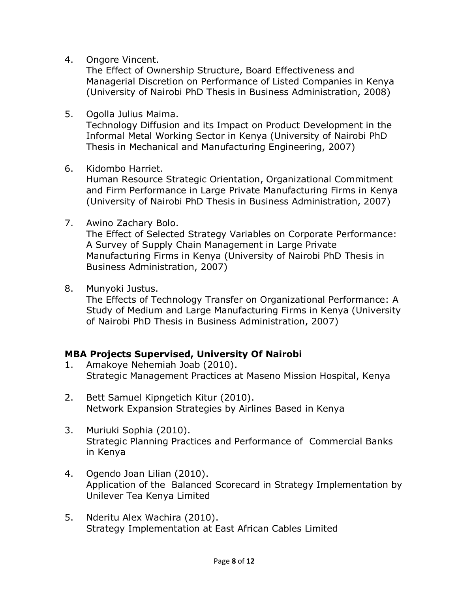4. Ongore Vincent.

The Effect of Ownership Structure, Board Effectiveness and Managerial Discretion on Performance of Listed Companies in Kenya (University of Nairobi PhD Thesis in Business Administration, 2008)

5. Ogolla Julius Maima.

Technology Diffusion and its Impact on Product Development in the Informal Metal Working Sector in Kenya (University of Nairobi PhD Thesis in Mechanical and Manufacturing Engineering, 2007)

6. Kidombo Harriet.

Human Resource Strategic Orientation, Organizational Commitment and Firm Performance in Large Private Manufacturing Firms in Kenya (University of Nairobi PhD Thesis in Business Administration, 2007)

7. Awino Zachary Bolo.

The Effect of Selected Strategy Variables on Corporate Performance: A Survey of Supply Chain Management in Large Private Manufacturing Firms in Kenya (University of Nairobi PhD Thesis in Business Administration, 2007)

8. Munyoki Justus.

The Effects of Technology Transfer on Organizational Performance: A Study of Medium and Large Manufacturing Firms in Kenya (University of Nairobi PhD Thesis in Business Administration, 2007)

#### **MBA Projects Supervised, University Of Nairobi**

- 1. Amakoye Nehemiah Joab (2010). Strategic Management Practices at Maseno Mission Hospital, Kenya
- 2. Bett Samuel Kipngetich Kitur (2010). Network Expansion Strategies by Airlines Based in Kenya
- 3. Muriuki Sophia (2010). Strategic Planning Practices and Performance of Commercial Banks in Kenya
- 4. Ogendo Joan Lilian (2010). Application of the Balanced Scorecard in Strategy Implementation by Unilever Tea Kenya Limited
- 5. Nderitu Alex Wachira (2010). Strategy Implementation at East African Cables Limited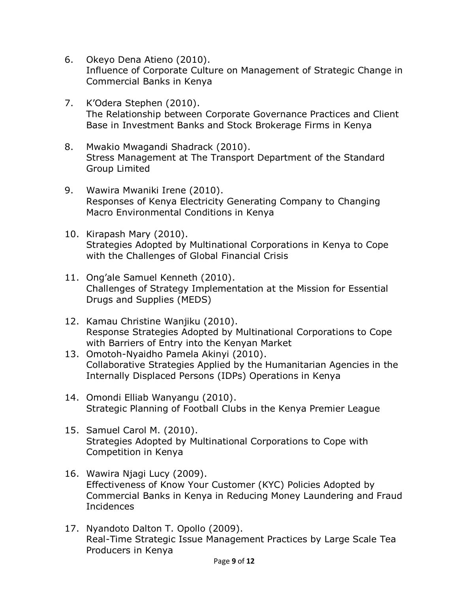- 6. Okeyo Dena Atieno (2010). Influence of Corporate Culture on Management of Strategic Change in Commercial Banks in Kenya
- 7. K'Odera Stephen (2010). The Relationship between Corporate Governance Practices and Client Base in Investment Banks and Stock Brokerage Firms in Kenya
- 8. Mwakio Mwagandi Shadrack (2010). Stress Management at The Transport Department of the Standard Group Limited
- 9. Wawira Mwaniki Irene (2010). Responses of Kenya Electricity Generating Company to Changing Macro Environmental Conditions in Kenya
- 10. Kirapash Mary (2010). Strategies Adopted by Multinational Corporations in Kenya to Cope with the Challenges of Global Financial Crisis
- 11. Ong'ale Samuel Kenneth (2010). Challenges of Strategy Implementation at the Mission for Essential Drugs and Supplies (MEDS)
- 12. Kamau Christine Wanjiku (2010). Response Strategies Adopted by Multinational Corporations to Cope with Barriers of Entry into the Kenyan Market
- 13. Omotoh-Nyaidho Pamela Akinyi (2010). Collaborative Strategies Applied by the Humanitarian Agencies in the Internally Displaced Persons (IDPs) Operations in Kenya
- 14. Omondi Elliab Wanyangu (2010). Strategic Planning of Football Clubs in the Kenya Premier League
- 15. Samuel Carol M. (2010). Strategies Adopted by Multinational Corporations to Cope with Competition in Kenya
- 16. Wawira Njagi Lucy (2009). Effectiveness of Know Your Customer (KYC) Policies Adopted by Commercial Banks in Kenya in Reducing Money Laundering and Fraud Incidences
- 17. Nyandoto Dalton T. Opollo (2009). Real-Time Strategic Issue Management Practices by Large Scale Tea Producers in Kenya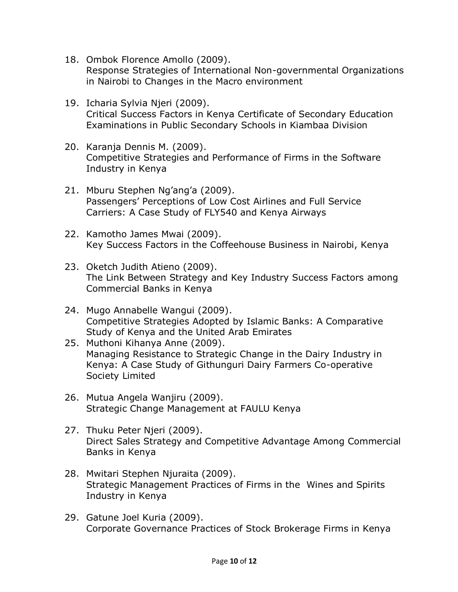- 18. Ombok Florence Amollo (2009). Response Strategies of International Non-governmental Organizations in Nairobi to Changes in the Macro environment
- 19. Icharia Sylvia Njeri (2009). Critical Success Factors in Kenya Certificate of Secondary Education Examinations in Public Secondary Schools in Kiambaa Division
- 20. Karanja Dennis M. (2009). Competitive Strategies and Performance of Firms in the Software Industry in Kenya
- 21. Mburu Stephen Ng'ang'a (2009). Passengers' Perceptions of Low Cost Airlines and Full Service Carriers: A Case Study of FLY540 and Kenya Airways
- 22. Kamotho James Mwai (2009). Key Success Factors in the Coffeehouse Business in Nairobi, Kenya
- 23. Oketch Judith Atieno (2009). The Link Between Strategy and Key Industry Success Factors among Commercial Banks in Kenya
- 24. Mugo Annabelle Wangui (2009). Competitive Strategies Adopted by Islamic Banks: A Comparative Study of Kenya and the United Arab Emirates
- 25. Muthoni Kihanya Anne (2009). Managing Resistance to Strategic Change in the Dairy Industry in Kenya: A Case Study of Githunguri Dairy Farmers Co-operative Society Limited
- 26. Mutua Angela Wanjiru (2009). Strategic Change Management at FAULU Kenya
- 27. Thuku Peter Njeri (2009). Direct Sales Strategy and Competitive Advantage Among Commercial Banks in Kenya
- 28. Mwitari Stephen Njuraita (2009). Strategic Management Practices of Firms in the Wines and Spirits Industry in Kenya
- 29. Gatune Joel Kuria (2009). Corporate Governance Practices of Stock Brokerage Firms in Kenya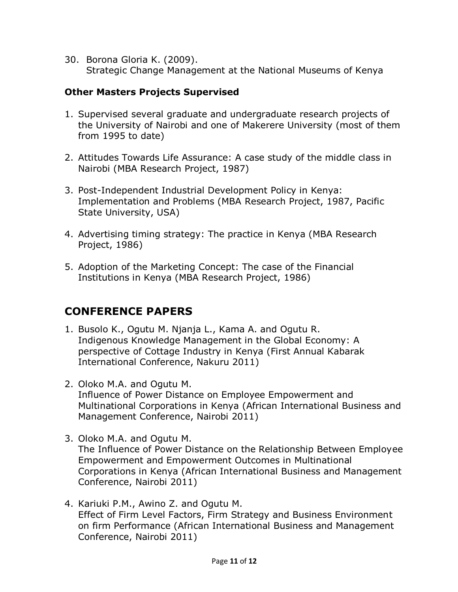30. Borona Gloria K. (2009). Strategic Change Management at the National Museums of Kenya

#### **Other Masters Projects Supervised**

- 1. Supervised several graduate and undergraduate research projects of the University of Nairobi and one of Makerere University (most of them from 1995 to date)
- 2. Attitudes Towards Life Assurance: A case study of the middle class in Nairobi (MBA Research Project, 1987)
- 3. Post-Independent Industrial Development Policy in Kenya: Implementation and Problems (MBA Research Project, 1987, Pacific State University, USA)
- 4. Advertising timing strategy: The practice in Kenya (MBA Research Project, 1986)
- 5. Adoption of the Marketing Concept: The case of the Financial Institutions in Kenya (MBA Research Project, 1986)

## **CONFERENCE PAPERS**

- 1. Busolo K., Ogutu M. Njanja L., Kama A. and Ogutu R. Indigenous Knowledge Management in the Global Economy: A perspective of Cottage Industry in Kenya (First Annual Kabarak International Conference, Nakuru 2011)
- 2. Oloko M.A. and Ogutu M. Influence of Power Distance on Employee Empowerment and Multinational Corporations in Kenya (African International Business and Management Conference, Nairobi 2011)
- 3. Oloko M.A. and Ogutu M. The Influence of Power Distance on the Relationship Between Employee Empowerment and Empowerment Outcomes in Multinational Corporations in Kenya (African International Business and Management Conference, Nairobi 2011)
- 4. Kariuki P.M., Awino Z. and Ogutu M. Effect of Firm Level Factors, Firm Strategy and Business Environment on firm Performance (African International Business and Management Conference, Nairobi 2011)